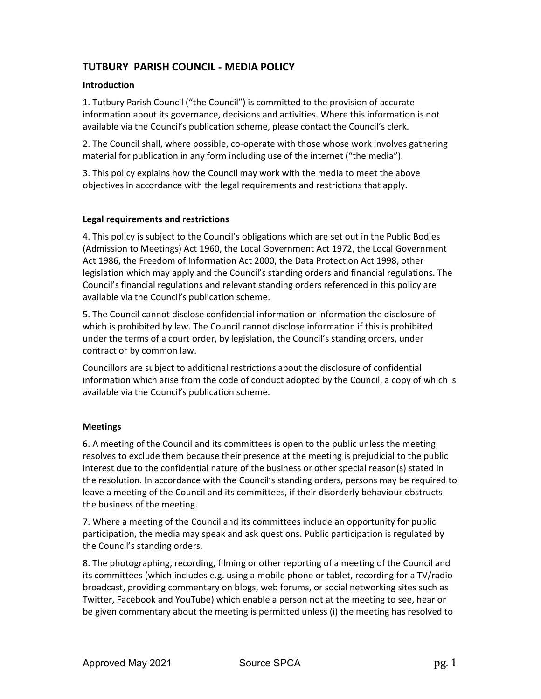# TUTBURY PARISH COUNCIL ‐ MEDIA POLICY

## Introduction

1. Tutbury Parish Council ("the Council") is committed to the provision of accurate information about its governance, decisions and activities. Where this information is not available via the Council's publication scheme, please contact the Council's clerk.

2. The Council shall, where possible, co‐operate with those whose work involves gathering material for publication in any form including use of the internet ("the media").

3. This policy explains how the Council may work with the media to meet the above objectives in accordance with the legal requirements and restrictions that apply.

#### Legal requirements and restrictions

4. This policy is subject to the Council's obligations which are set out in the Public Bodies (Admission to Meetings) Act 1960, the Local Government Act 1972, the Local Government Act 1986, the Freedom of Information Act 2000, the Data Protection Act 1998, other legislation which may apply and the Council's standing orders and financial regulations. The Council's financial regulations and relevant standing orders referenced in this policy are available via the Council's publication scheme.

5. The Council cannot disclose confidential information or information the disclosure of which is prohibited by law. The Council cannot disclose information if this is prohibited under the terms of a court order, by legislation, the Council's standing orders, under contract or by common law.

Councillors are subject to additional restrictions about the disclosure of confidential information which arise from the code of conduct adopted by the Council, a copy of which is available via the Council's publication scheme.

# Meetings

6. A meeting of the Council and its committees is open to the public unless the meeting resolves to exclude them because their presence at the meeting is prejudicial to the public interest due to the confidential nature of the business or other special reason(s) stated in the resolution. In accordance with the Council's standing orders, persons may be required to leave a meeting of the Council and its committees, if their disorderly behaviour obstructs the business of the meeting.

7. Where a meeting of the Council and its committees include an opportunity for public participation, the media may speak and ask questions. Public participation is regulated by the Council's standing orders.

8. The photographing, recording, filming or other reporting of a meeting of the Council and its committees (which includes e.g. using a mobile phone or tablet, recording for a TV/radio broadcast, providing commentary on blogs, web forums, or social networking sites such as Twitter, Facebook and YouTube) which enable a person not at the meeting to see, hear or be given commentary about the meeting is permitted unless (i) the meeting has resolved to